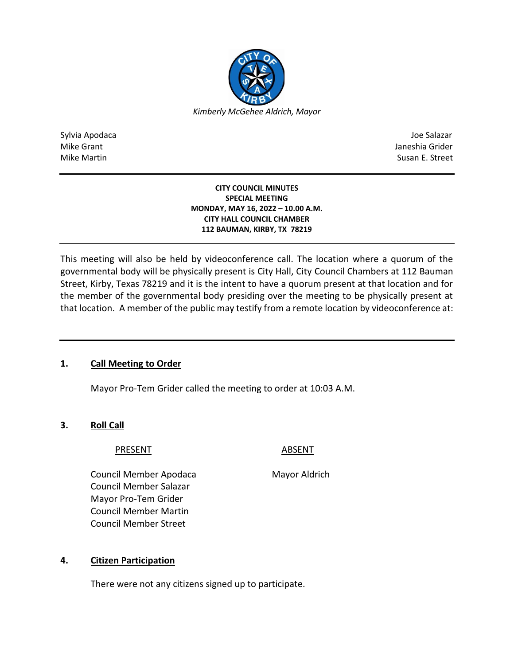

Sylvia Apodaca Joe Salazar Joe Salazar Joe Salazar Joe Salazar Joe Salazar Joe Salazar Joe Salazar Joe Salazar Mike Grant **Janeshia Grider** Mike Grant Janeshia Grider **Janeshia Grider** Mike Grant Janeshia Grider Mike Martin Susan E. Street

### **CITY COUNCIL MINUTES SPECIAL MEETING MONDAY, MAY 16, 2022 – 10.00 A.M. CITY HALL COUNCIL CHAMBER 112 BAUMAN, KIRBY, TX 78219**

This meeting will also be held by videoconference call. The location where a quorum of the governmental body will be physically present is City Hall, City Council Chambers at 112 Bauman Street, Kirby, Texas 78219 and it is the intent to have a quorum present at that location and for the member of the governmental body presiding over the meeting to be physically present at that location. A member of the public may testify from a remote location by videoconference at:

# **1. Call Meeting to Order**

Mayor Pro-Tem Grider called the meeting to order at 10:03 A.M.

# **3. Roll Call**

# PRESENT ABSENT

Council Member Apodaca Mayor Aldrich Council Member Salazar Mayor Pro-Tem Grider Council Member Martin Council Member Street

# **4. Citizen Participation**

There were not any citizens signed up to participate.